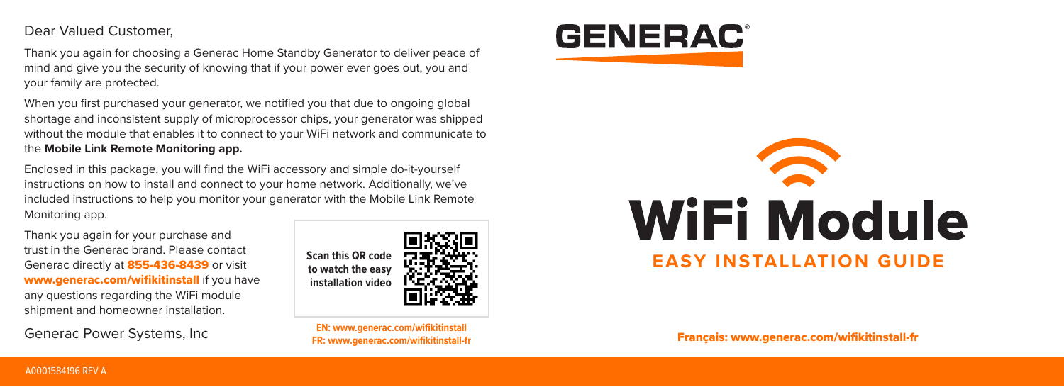Dear Valued Customer,

Thank you again for choosing a Generac Home Standby Generator to deliver peace of mind and give you the security of knowing that if your power ever goes out, you and your family are protected.

When you first purchased your generator, we notified you that due to ongoing global shortage and inconsistent supply of microprocessor chips, your generator was shipped without the module that enables it to connect to your WiFi network and communicate to the **Mobile Link Remote Monitoring app.**

Enclosed in this package, you will find the WiFi accessory and simple do-it-yourself instructions on how to install and connect to your home network. Additionally, we've included instructions to help you monitor your generator with the Mobile Link Remote Monitoring app.

Thank you again for your purchase and trust in the Generac brand. Please contact Generac directly at **855-436-8439** or visit www.generac.com/wifikitinstall if you have any questions regarding the WiFi module shipment and homeowner installation.

Generac Power Systems, Inc



**EN: www.generac.com/wifikitinstall**